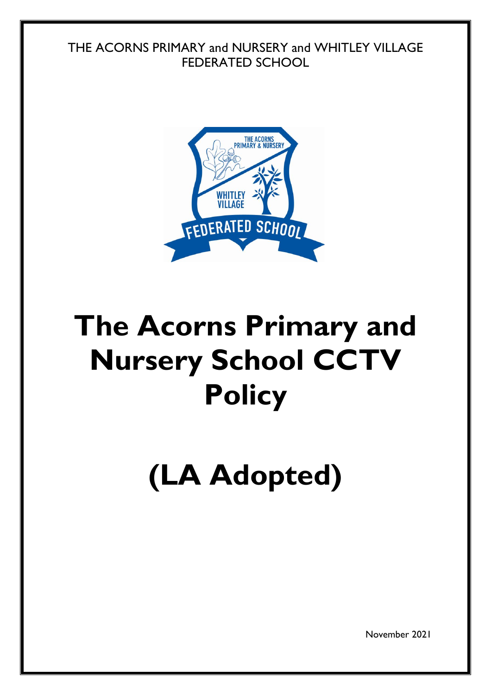### THE ACORNS PRIMARY and NURSERY and WHITLEY VILLAGE FEDERATED SCHOOL



## **The Acorns Primary and Nursery School CCTV Policy**

# **(LA Adopted)**

November 2021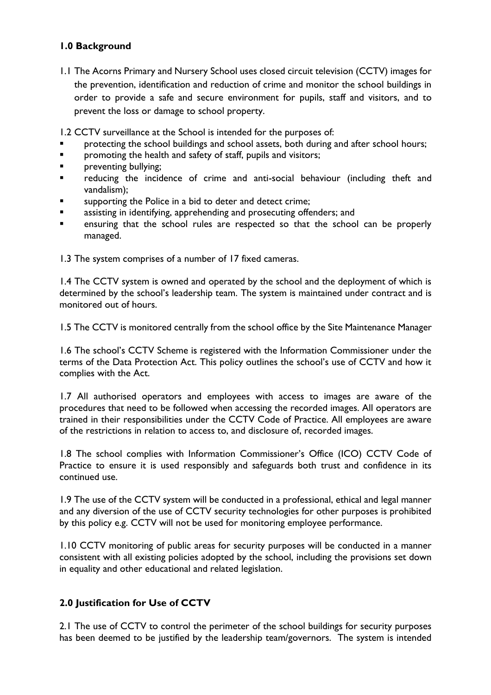#### **1.0 Background**

1.1 The Acorns Primary and Nursery School uses closed circuit television (CCTV) images for the prevention, identification and reduction of crime and monitor the school buildings in order to provide a safe and secure environment for pupils, staff and visitors, and to prevent the loss or damage to school property.

1.2 CCTV surveillance at the School is intended for the purposes of:

- protecting the school buildings and school assets, both during and after school hours;
- **Partherive is also promoting the health and safety of staff, pupils and visitors;**
- **Paramers** preventing bullying;
- reducing the incidence of crime and anti-social behaviour (including theft and vandalism);
- supporting the Police in a bid to deter and detect crime;
- assisting in identifying, apprehending and prosecuting offenders; and
- ensuring that the school rules are respected so that the school can be properly managed.

1.3 The system comprises of a number of 17 fixed cameras.

1.4 The CCTV system is owned and operated by the school and the deployment of which is determined by the school's leadership team. The system is maintained under contract and is monitored out of hours.

1.5 The CCTV is monitored centrally from the school office by the Site Maintenance Manager

1.6 The school's CCTV Scheme is registered with the Information Commissioner under the terms of the Data Protection Act. This policy outlines the school's use of CCTV and how it complies with the Act.

1.7 All authorised operators and employees with access to images are aware of the procedures that need to be followed when accessing the recorded images. All operators are trained in their responsibilities under the CCTV Code of Practice. All employees are aware of the restrictions in relation to access to, and disclosure of, recorded images.

1.8 The school complies with Information Commissioner's Office (ICO) CCTV Code of Practice to ensure it is used responsibly and safeguards both trust and confidence in its continued use.

1.9 The use of the CCTV system will be conducted in a professional, ethical and legal manner and any diversion of the use of CCTV security technologies for other purposes is prohibited by this policy e.g. CCTV will not be used for monitoring employee performance.

1.10 CCTV monitoring of public areas for security purposes will be conducted in a manner consistent with all existing policies adopted by the school, including the provisions set down in equality and other educational and related legislation.

#### **2.0 Justification for Use of CCTV**

2.1 The use of CCTV to control the perimeter of the school buildings for security purposes has been deemed to be justified by the leadership team/governors. The system is intended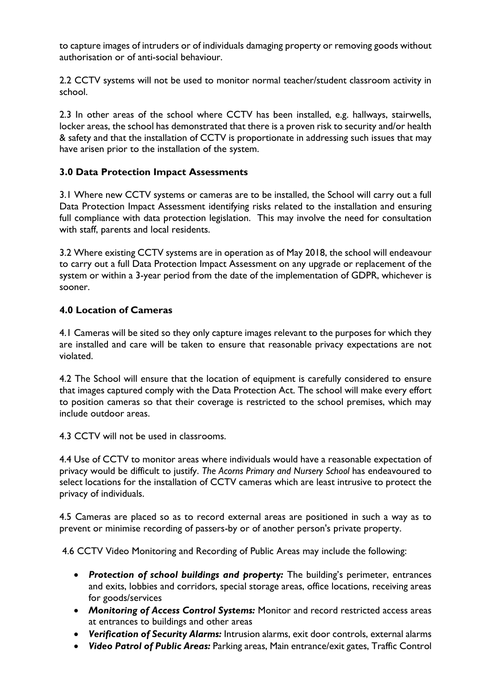to capture images of intruders or of individuals damaging property or removing goods without authorisation or of anti-social behaviour.

2.2 CCTV systems will not be used to monitor normal teacher/student classroom activity in school.

2.3 In other areas of the school where CCTV has been installed, e.g. hallways, stairwells, locker areas, the school has demonstrated that there is a proven risk to security and/or health & safety and that the installation of CCTV is proportionate in addressing such issues that may have arisen prior to the installation of the system.

#### **3.0 Data Protection Impact Assessments**

3.1 Where new CCTV systems or cameras are to be installed, the School will carry out a full Data Protection Impact Assessment identifying risks related to the installation and ensuring full compliance with data protection legislation. This may involve the need for consultation with staff, parents and local residents.

3.2 Where existing CCTV systems are in operation as of May 2018, the school will endeavour to carry out a full Data Protection Impact Assessment on any upgrade or replacement of the system or within a 3-year period from the date of the implementation of GDPR, whichever is sooner.

#### **4.0 Location of Cameras**

4.1 Cameras will be sited so they only capture images relevant to the purposes for which they are installed and care will be taken to ensure that reasonable privacy expectations are not violated.

4.2 The School will ensure that the location of equipment is carefully considered to ensure that images captured comply with the Data Protection Act. The school will make every effort to position cameras so that their coverage is restricted to the school premises, which may include outdoor areas.

4.3 CCTV will not be used in classrooms.

4.4 Use of CCTV to monitor areas where individuals would have a reasonable expectation of privacy would be difficult to justify. *The Acorns Primary and Nursery School* has endeavoured to select locations for the installation of CCTV cameras which are least intrusive to protect the privacy of individuals.

4.5 Cameras are placed so as to record external areas are positioned in such a way as to prevent or minimise recording of passers-by or of another person's private property.

4.6 CCTV Video Monitoring and Recording of Public Areas may include the following:

- *Protection of school buildings and property:* The building's perimeter, entrances and exits, lobbies and corridors, special storage areas, office locations, receiving areas for goods/services
- *Monitoring of Access Control Systems:* Monitor and record restricted access areas at entrances to buildings and other areas
- *Verification of Security Alarms:* Intrusion alarms, exit door controls, external alarms
- *Video Patrol of Public Areas:* Parking areas, Main entrance/exit gates, Traffic Control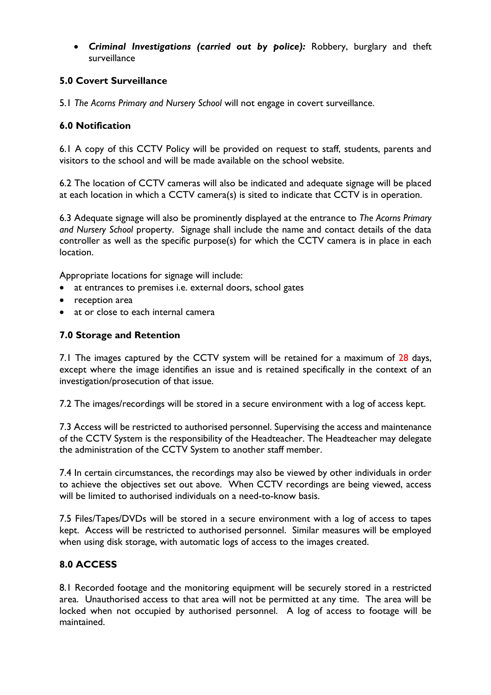*Criminal Investigations (carried out by police):* Robbery, burglary and theft surveillance

#### **5.0 Covert Surveillance**

5.1 *The Acorns Primary and Nursery School* will not engage in covert surveillance.

#### **6.0 Notification**

6.1 A copy of this CCTV Policy will be provided on request to staff, students, parents and visitors to the school and will be made available on the school website.

6.2 The location of CCTV cameras will also be indicated and adequate signage will be placed at each location in which a CCTV camera(s) is sited to indicate that CCTV is in operation.

6.3 Adequate signage will also be prominently displayed at the entrance to *The Acorns Primary and Nursery School* property. Signage shall include the name and contact details of the data controller as well as the specific purpose(s) for which the CCTV camera is in place in each location.

Appropriate locations for signage will include:

- at entrances to premises i.e. external doors, school gates
- reception area
- at or close to each internal camera

#### **7.0 Storage and Retention**

7.1 The images captured by the CCTV system will be retained for a maximum of 28 days, except where the image identifies an issue and is retained specifically in the context of an investigation/prosecution of that issue.

7.2 The images/recordings will be stored in a secure environment with a log of access kept.

7.3 Access will be restricted to authorised personnel. Supervising the access and maintenance of the CCTV System is the responsibility of the Headteacher. The Headteacher may delegate the administration of the CCTV System to another staff member.

7.4 In certain circumstances, the recordings may also be viewed by other individuals in order to achieve the objectives set out above. When CCTV recordings are being viewed, access will be limited to authorised individuals on a need-to-know basis.

7.5 Files/Tapes/DVDs will be stored in a secure environment with a log of access to tapes kept. Access will be restricted to authorised personnel. Similar measures will be employed when using disk storage, with automatic logs of access to the images created.

#### **8.0 ACCESS**

8.1 Recorded footage and the monitoring equipment will be securely stored in a restricted area. Unauthorised access to that area will not be permitted at any time. The area will be locked when not occupied by authorised personnel. A log of access to footage will be maintained.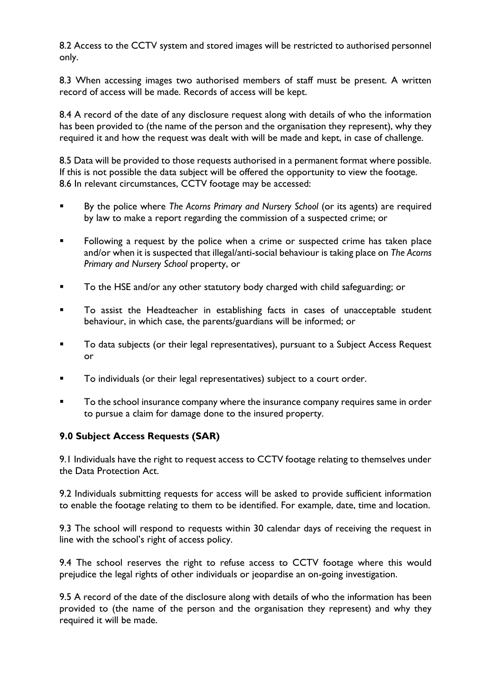8.2 Access to the CCTV system and stored images will be restricted to authorised personnel only.

8.3 When accessing images two authorised members of staff must be present. A written record of access will be made. Records of access will be kept.

8.4 A record of the date of any disclosure request along with details of who the information has been provided to (the name of the person and the organisation they represent), why they required it and how the request was dealt with will be made and kept, in case of challenge.

8.5 Data will be provided to those requests authorised in a permanent format where possible. If this is not possible the data subject will be offered the opportunity to view the footage. 8.6 In relevant circumstances, CCTV footage may be accessed:

- By the police where *The Acorns Primary and Nursery School* (or its agents) are required by law to make a report regarding the commission of a suspected crime; or
- **Following a request by the police when a crime or suspected crime has taken place** and/or when it is suspected that illegal/anti-social behaviour is taking place on *The Acorns Primary and Nursery School* property, or
- **To the HSE and/or any other statutory body charged with child safeguarding; or**
- To assist the Headteacher in establishing facts in cases of unacceptable student behaviour, in which case, the parents/guardians will be informed; or
- To data subjects (or their legal representatives), pursuant to a Subject Access Request or
- To individuals (or their legal representatives) subject to a court order.
- To the school insurance company where the insurance company requires same in order to pursue a claim for damage done to the insured property.

#### **9.0 Subject Access Requests (SAR)**

9.1 Individuals have the right to request access to CCTV footage relating to themselves under the Data Protection Act.

9.2 Individuals submitting requests for access will be asked to provide sufficient information to enable the footage relating to them to be identified. For example, date, time and location.

9.3 The school will respond to requests within 30 calendar days of receiving the request in line with the school's right of access policy.

9.4 The school reserves the right to refuse access to CCTV footage where this would prejudice the legal rights of other individuals or jeopardise an on-going investigation.

9.5 A record of the date of the disclosure along with details of who the information has been provided to (the name of the person and the organisation they represent) and why they required it will be made.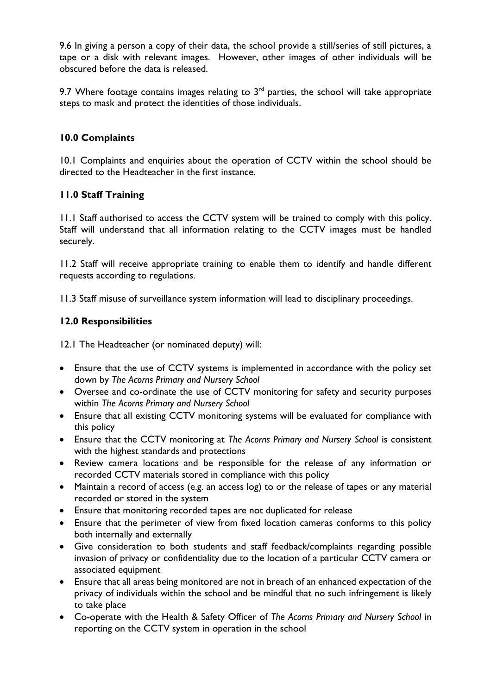9.6 In giving a person a copy of their data, the school provide a still/series of still pictures, a tape or a disk with relevant images. However, other images of other individuals will be obscured before the data is released.

9.7 Where footage contains images relating to  $3<sup>rd</sup>$  parties, the school will take appropriate steps to mask and protect the identities of those individuals.

#### **10.0 Complaints**

10.1 Complaints and enquiries about the operation of CCTV within the school should be directed to the Headteacher in the first instance.

#### **11.0 Staff Training**

11.1 Staff authorised to access the CCTV system will be trained to comply with this policy. Staff will understand that all information relating to the CCTV images must be handled securely.

11.2 Staff will receive appropriate training to enable them to identify and handle different requests according to regulations.

11.3 Staff misuse of surveillance system information will lead to disciplinary proceedings.

#### **12.0 Responsibilities**

12.1 The Headteacher (or nominated deputy) will:

- Ensure that the use of CCTV systems is implemented in accordance with the policy set down by *The Acorns Primary and Nursery School*
- Oversee and co-ordinate the use of CCTV monitoring for safety and security purposes within *The Acorns Primary and Nursery School*
- Ensure that all existing CCTV monitoring systems will be evaluated for compliance with this policy
- Ensure that the CCTV monitoring at *The Acorns Primary and Nursery School* is consistent with the highest standards and protections
- Review camera locations and be responsible for the release of any information or recorded CCTV materials stored in compliance with this policy
- Maintain a record of access (e.g. an access log) to or the release of tapes or any material recorded or stored in the system
- Ensure that monitoring recorded tapes are not duplicated for release
- Ensure that the perimeter of view from fixed location cameras conforms to this policy both internally and externally
- Give consideration to both students and staff feedback/complaints regarding possible invasion of privacy or confidentiality due to the location of a particular CCTV camera or associated equipment
- Ensure that all areas being monitored are not in breach of an enhanced expectation of the privacy of individuals within the school and be mindful that no such infringement is likely to take place
- Co-operate with the Health & Safety Officer of *The Acorns Primary and Nursery School* in reporting on the CCTV system in operation in the school